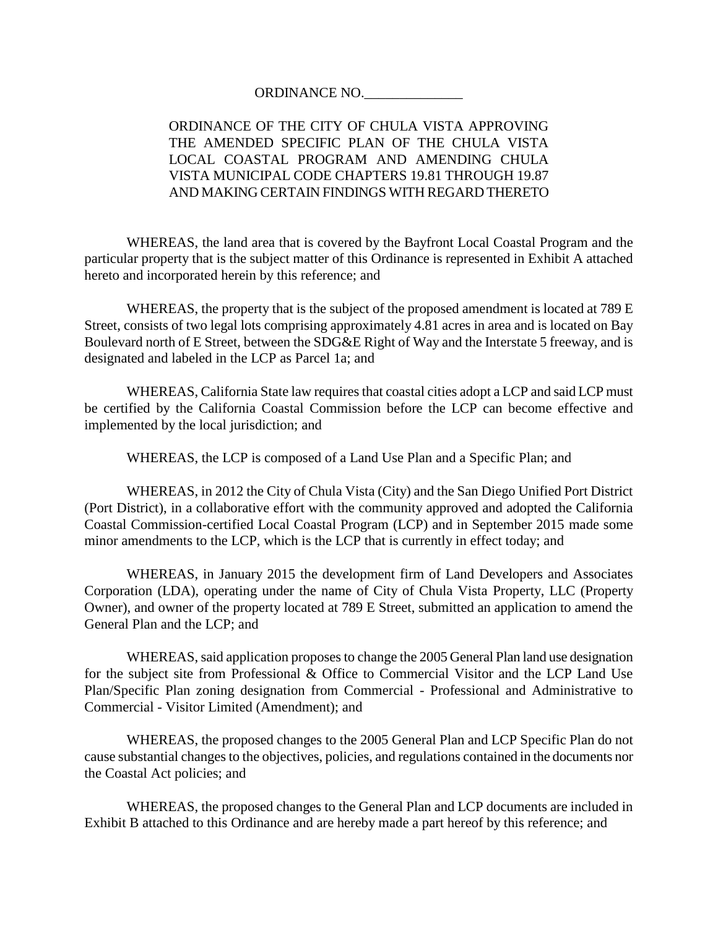#### ORDINANCE NO.

# ORDINANCE OF THE CITY OF CHULA VISTA APPROVING THE AMENDED SPECIFIC PLAN OF THE CHULA VISTA LOCAL COASTAL PROGRAM AND AMENDING CHULA VISTA MUNICIPAL CODE CHAPTERS 19.81 THROUGH 19.87 AND MAKING CERTAIN FINDINGS WITH REGARD THERETO

WHEREAS, the land area that is covered by the Bayfront Local Coastal Program and the particular property that is the subject matter of this Ordinance is represented in Exhibit A attached hereto and incorporated herein by this reference; and

WHEREAS, the property that is the subject of the proposed amendment is located at 789 E Street, consists of two legal lots comprising approximately 4.81 acres in area and is located on Bay Boulevard north of E Street, between the SDG&E Right of Way and the Interstate 5 freeway, and is designated and labeled in the LCP as Parcel 1a; and

WHEREAS, California State law requires that coastal cities adopt a LCP and said LCP must be certified by the California Coastal Commission before the LCP can become effective and implemented by the local jurisdiction; and

WHEREAS, the LCP is composed of a Land Use Plan and a Specific Plan; and

WHEREAS, in 2012 the City of Chula Vista (City) and the San Diego Unified Port District (Port District), in a collaborative effort with the community approved and adopted the California Coastal Commission-certified Local Coastal Program (LCP) and in September 2015 made some minor amendments to the LCP, which is the LCP that is currently in effect today; and

WHEREAS, in January 2015 the development firm of Land Developers and Associates Corporation (LDA), operating under the name of City of Chula Vista Property, LLC (Property Owner), and owner of the property located at 789 E Street, submitted an application to amend the General Plan and the LCP; and

WHEREAS, said application proposes to change the 2005 General Plan land use designation for the subject site from Professional & Office to Commercial Visitor and the LCP Land Use Plan/Specific Plan zoning designation from Commercial - Professional and Administrative to Commercial - Visitor Limited (Amendment); and

WHEREAS, the proposed changes to the 2005 General Plan and LCP Specific Plan do not cause substantial changes to the objectives, policies, and regulations contained in the documents nor the Coastal Act policies; and

WHEREAS, the proposed changes to the General Plan and LCP documents are included in Exhibit B attached to this Ordinance and are hereby made a part hereof by this reference; and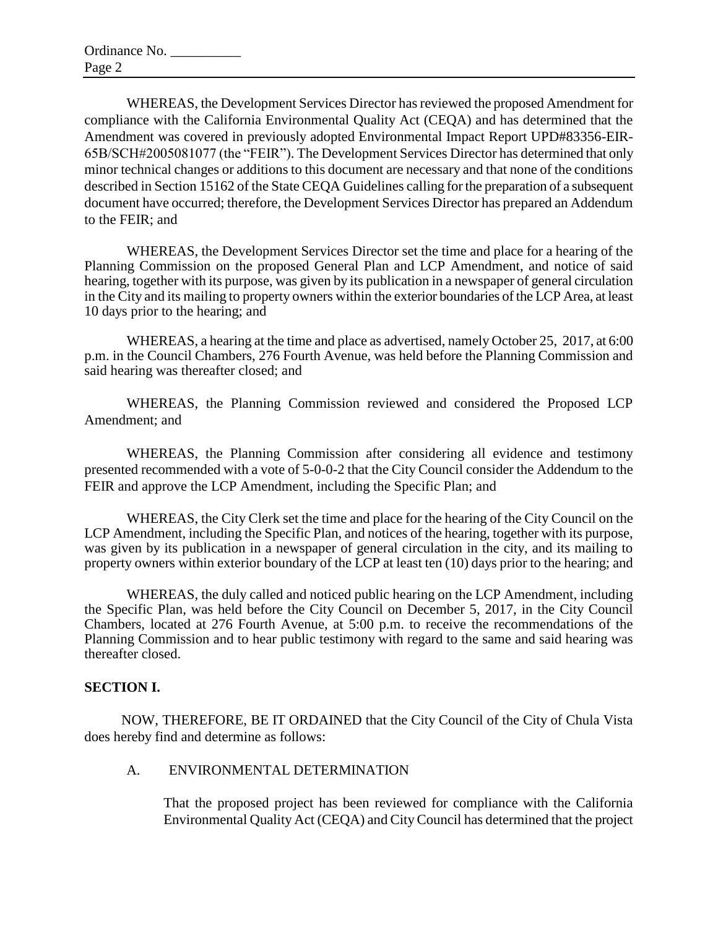WHEREAS, the Development Services Director has reviewed the proposed Amendment for compliance with the California Environmental Quality Act (CEQA) and has determined that the Amendment was covered in previously adopted Environmental Impact Report UPD#83356-EIR-65B/SCH#2005081077 (the "FEIR"). The Development Services Director has determined that only minor technical changes or additions to this document are necessary and that none of the conditions described in Section 15162 of the State CEQA Guidelines calling for the preparation of a subsequent document have occurred; therefore, the Development Services Director has prepared an Addendum to the FEIR; and

WHEREAS, the Development Services Director set the time and place for a hearing of the Planning Commission on the proposed General Plan and LCP Amendment, and notice of said hearing, together with its purpose, was given by its publication in a newspaper of general circulation in the City and its mailing to property owners within the exterior boundaries of the LCP Area, at least 10 days prior to the hearing; and

WHEREAS, a hearing at the time and place as advertised, namely October 25, 2017, at 6:00 p.m. in the Council Chambers, 276 Fourth Avenue, was held before the Planning Commission and said hearing was thereafter closed; and

WHEREAS, the Planning Commission reviewed and considered the Proposed LCP Amendment; and

WHEREAS, the Planning Commission after considering all evidence and testimony presented recommended with a vote of 5-0-0-2 that the City Council consider the Addendum to the FEIR and approve the LCP Amendment, including the Specific Plan; and

WHEREAS, the City Clerk set the time and place for the hearing of the City Council on the LCP Amendment, including the Specific Plan, and notices of the hearing, together with its purpose, was given by its publication in a newspaper of general circulation in the city, and its mailing to property owners within exterior boundary of the LCP at least ten (10) days prior to the hearing; and

WHEREAS, the duly called and noticed public hearing on the LCP Amendment, including the Specific Plan, was held before the City Council on December 5, 2017, in the City Council Chambers, located at 276 Fourth Avenue, at 5:00 p.m. to receive the recommendations of the Planning Commission and to hear public testimony with regard to the same and said hearing was thereafter closed.

# **SECTION I.**

NOW, THEREFORE, BE IT ORDAINED that the City Council of the City of Chula Vista does hereby find and determine as follows:

### A. ENVIRONMENTAL DETERMINATION

That the proposed project has been reviewed for compliance with the California Environmental Quality Act (CEQA) and City Council has determined that the project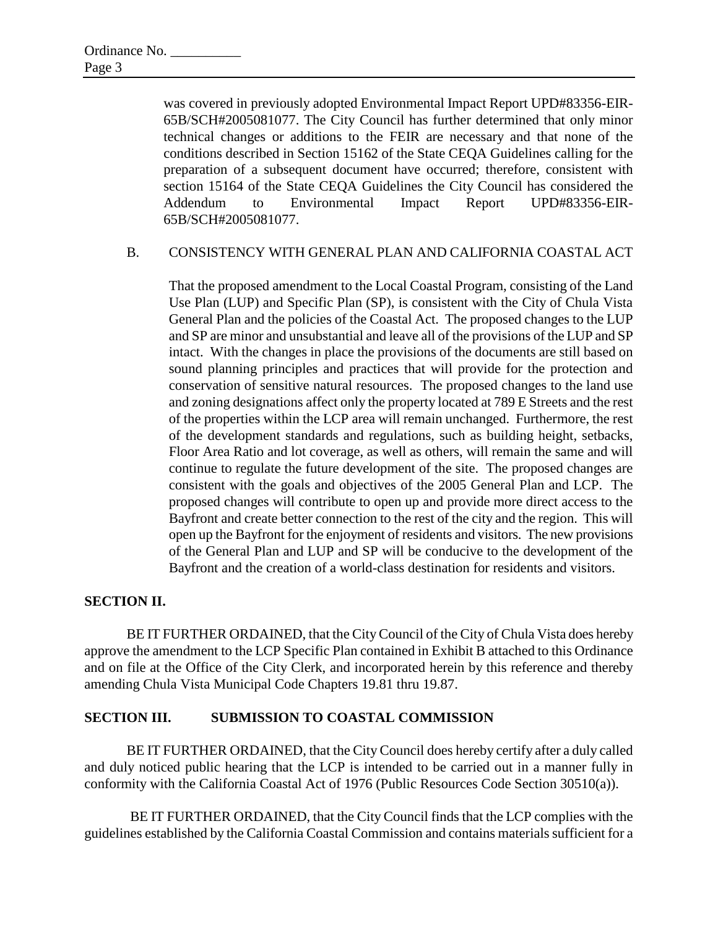was covered in previously adopted Environmental Impact Report UPD#83356-EIR-65B/SCH#2005081077. The City Council has further determined that only minor technical changes or additions to the FEIR are necessary and that none of the conditions described in Section 15162 of the State CEQA Guidelines calling for the preparation of a subsequent document have occurred; therefore, consistent with section 15164 of the State CEQA Guidelines the City Council has considered the Addendum to Environmental Impact Report UPD#83356-EIR-65B/SCH#2005081077.

### B. CONSISTENCY WITH GENERAL PLAN AND CALIFORNIA COASTAL ACT

That the proposed amendment to the Local Coastal Program, consisting of the Land Use Plan (LUP) and Specific Plan (SP), is consistent with the City of Chula Vista General Plan and the policies of the Coastal Act. The proposed changes to the LUP and SP are minor and unsubstantial and leave all of the provisions of the LUP and SP intact. With the changes in place the provisions of the documents are still based on sound planning principles and practices that will provide for the protection and conservation of sensitive natural resources. The proposed changes to the land use and zoning designations affect only the property located at 789 E Streets and the rest of the properties within the LCP area will remain unchanged. Furthermore, the rest of the development standards and regulations, such as building height, setbacks, Floor Area Ratio and lot coverage, as well as others, will remain the same and will continue to regulate the future development of the site. The proposed changes are consistent with the goals and objectives of the 2005 General Plan and LCP. The proposed changes will contribute to open up and provide more direct access to the Bayfront and create better connection to the rest of the city and the region. This will open up the Bayfront for the enjoyment of residents and visitors. The new provisions of the General Plan and LUP and SP will be conducive to the development of the Bayfront and the creation of a world-class destination for residents and visitors.

### **SECTION II.**

BE IT FURTHER ORDAINED, that the City Council of the City of Chula Vista does hereby approve the amendment to the LCP Specific Plan contained in Exhibit B attached to this Ordinance and on file at the Office of the City Clerk, and incorporated herein by this reference and thereby amending Chula Vista Municipal Code Chapters 19.81 thru 19.87.

### **SECTION III. SUBMISSION TO COASTAL COMMISSION**

BE IT FURTHER ORDAINED, that the City Council does hereby certify after a duly called and duly noticed public hearing that the LCP is intended to be carried out in a manner fully in conformity with the California Coastal Act of 1976 (Public Resources Code Section 30510(a)).

BE IT FURTHER ORDAINED, that the City Council finds that the LCP complies with the guidelines established by the California Coastal Commission and contains materials sufficient for a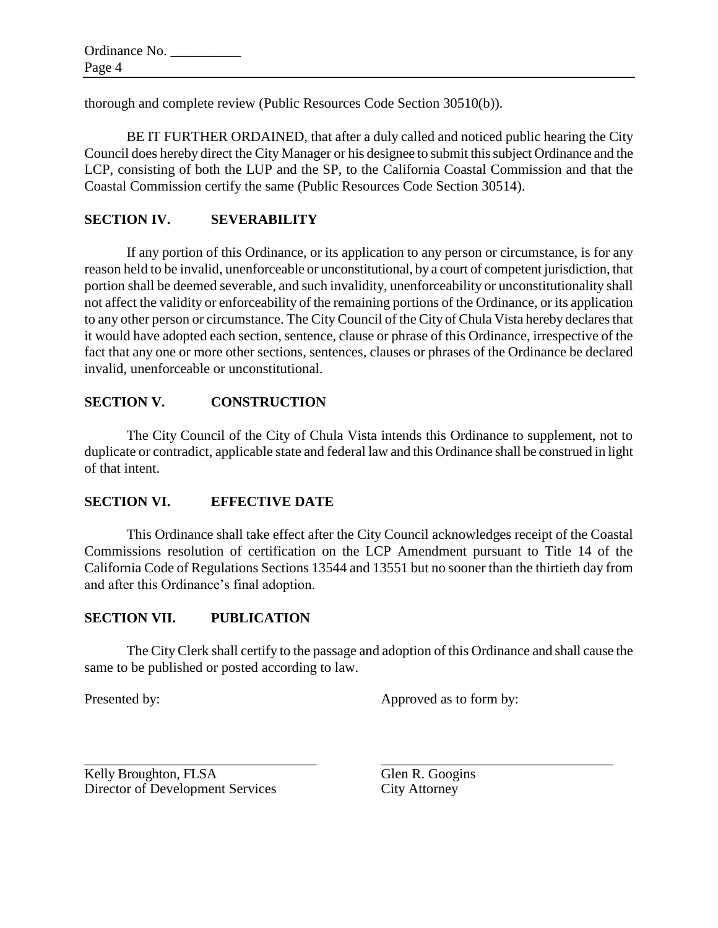thorough and complete review (Public Resources Code Section 30510(b)).

BE IT FURTHER ORDAINED, that after a duly called and noticed public hearing the City Council does hereby direct the City Manager or his designee to submit this subject Ordinance and the LCP, consisting of both the LUP and the SP, to the California Coastal Commission and that the Coastal Commission certify the same (Public Resources Code Section 30514).

## **SECTION IV. SEVERABILITY**

If any portion of this Ordinance, or its application to any person or circumstance, is for any reason held to be invalid, unenforceable or unconstitutional, by a court of competent jurisdiction, that portion shall be deemed severable, and such invalidity, unenforceability or unconstitutionality shall not affect the validity or enforceability of the remaining portions of the Ordinance, or its application to any other person or circumstance. The City Council of the City of Chula Vista hereby declares that it would have adopted each section, sentence, clause or phrase of this Ordinance, irrespective of the fact that any one or more other sections, sentences, clauses or phrases of the Ordinance be declared invalid, unenforceable or unconstitutional.

### **SECTION V. CONSTRUCTION**

The City Council of the City of Chula Vista intends this Ordinance to supplement, not to duplicate or contradict, applicable state and federal law and this Ordinance shall be construed in light of that intent.

### **SECTION VI. EFFECTIVE DATE**

This Ordinance shall take effect after the City Council acknowledges receipt of the Coastal Commissions resolution of certification on the LCP Amendment pursuant to Title 14 of the California Code of Regulations Sections 13544 and 13551 but no sooner than the thirtieth day from and after this Ordinance's final adoption.

### **SECTION VII. PUBLICATION**

The City Clerk shall certify to the passage and adoption of this Ordinance and shall cause the same to be published or posted according to law.

\_\_\_\_\_\_\_\_\_\_\_\_\_\_\_\_\_\_\_\_\_\_\_\_\_\_\_\_\_\_\_\_\_ \_\_\_\_\_\_\_\_\_\_\_\_\_\_\_\_\_\_\_\_\_\_\_\_\_\_\_\_\_\_\_\_\_

Presented by: Approved as to form by:

Kelly Broughton, FLSA Glen R. Googins Director of Development Services City Attorney